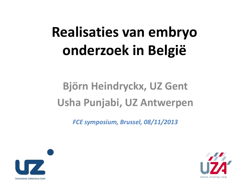# **Realisaties van embryo onderzoek in België**

#### **Björn Heindryckx, UZ Gent Usha Punjabi, UZ Antwerpen**

*FCE symposium, Brussel, 08/11/2013*



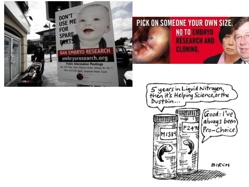



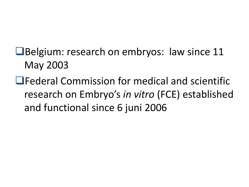- **E**Belgium: research on embryos: law since 11 May 2003
- **Lederal Commission for medical and scientific** research on Embryo's *in vitro* (FCE) established and functional since 6 juni 2006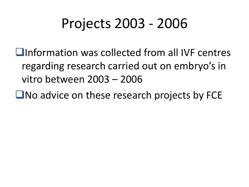# Projects 2003 - 2006

Information was collected from all IVF centres regarding research carried out on embryo's in vitro between 2003 – 2006

 $\Box$  No advice on these research projects by FCE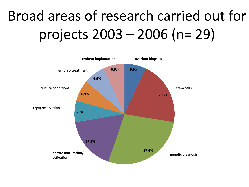# Broad areas of research carried out for projects 2003 – 2006 (n= 29)

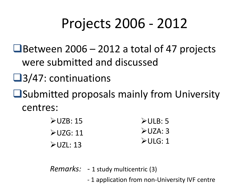# Projects 2006 - 2012

- $\Box$  Between 2006 2012 a total of 47 projects were submitted and discussed
- **□3/47: continuations**
- **■**Submitted proposals mainly from University centres:

| $\blacktriangleright$ ULB: 5 |
|------------------------------|
| $\triangle$ UZA: 3           |
| $\triangleright$ ULG: 1      |
|                              |

- *Remarks:* 1 study multicentric (3)
	- 1 application from non-University IVF centre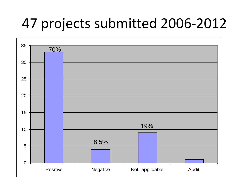#### 47 projects submitted 2006-2012

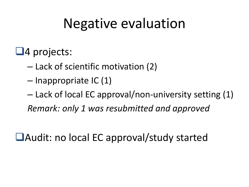#### Negative evaluation

#### $\Box$ 4 projects:

- Lack of scientific motivation (2)
- Inappropriate IC (1)
- Lack of local EC approval/non-university setting (1) *Remark: only 1 was resubmitted and approved*

■Audit: no local EC approval/study started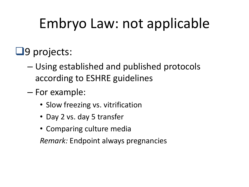# Embryo Law: not applicable

#### $\Box$ 9 projects:

- Using established and published protocols according to ESHRE guidelines
- For example:
	- Slow freezing vs. vitrification
	- Day 2 vs. day 5 transfer
	- Comparing culture media

*Remark:* Endpoint always pregnancies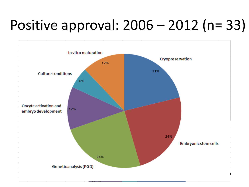# Positive approval: 2006 – 2012 (n= 33)

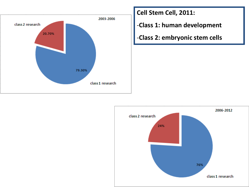

**Cell Stem Cell, 2011:**

-**Class 1: human development**

-**Class 2: embryonic stem cells**

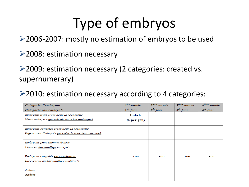## Type of embryos

2006-2007: mostly no estimation of embryos to be used

2008: estimation necessary

2009: estimation necessary (2 categories: created vs. supernumerary)

 $\geq$  2010: estimation necessary according to 4 categories:

| Catégorie d'embryons                              | $Ière$ année            | $2^{i\hat{e}me}$ année | $3ième$ année | $A^{i\hat{e}me}$ année |
|---------------------------------------------------|-------------------------|------------------------|---------------|------------------------|
| Categorie van embryo's                            | $Iste$ jaar             | $2^{de}$ jaar          | $3^{de}$ jaar | $4^{de}$ jaar          |
| Embryons frais créés pour la recherche            | Enkele                  |                        |               |                        |
| Verse embryo's gecreëerde voor het onderzoek      | (5 <sub>per gen</sub> ) |                        |               |                        |
|                                                   |                         |                        |               |                        |
| Embryons congelés créés pour la recherche         |                         |                        |               |                        |
| Ingevroren Embryo's gecreëerde voor het onderzoek |                         |                        |               |                        |
|                                                   |                         |                        |               |                        |
| Embryons frais surnuméraires                      |                         |                        |               |                        |
| Verse en <b>boventallige</b> embryo's             |                         |                        |               |                        |
|                                                   |                         |                        |               |                        |
| Embryons congelés surnuméraires                   | 100                     | 100                    | 100           | 100                    |
| Ingevroren en boventallige Embryo's               |                         |                        |               |                        |
|                                                   |                         |                        |               |                        |
| Autres                                            |                         |                        |               |                        |
| Andere                                            |                         |                        |               |                        |
|                                                   |                         |                        |               |                        |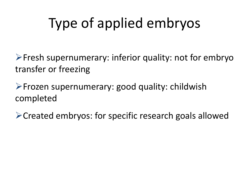# Type of applied embryos

 $\triangleright$  Fresh supernumerary: inferior quality: not for embryo transfer or freezing

Frozen supernumerary: good quality: childwish completed

Created embryos: for specific research goals allowed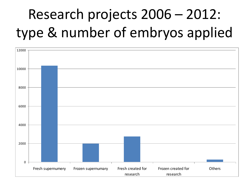# Research projects 2006 – 2012: type & number of embryos applied

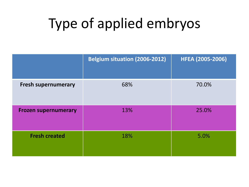# Type of applied embryos

|                             | <b>Belgium situation (2006-2012)</b> | <b>HFEA (2005-2006)</b> |
|-----------------------------|--------------------------------------|-------------------------|
| <b>Fresh supernumerary</b>  | 68%                                  | 70.0%                   |
| <b>Frozen supernumerary</b> | 13%                                  | 25.0%                   |
| <b>Fresh created</b>        | 18%                                  | 5.0%                    |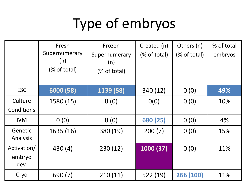# Type of embryos

|                               | Fresh                                | Frozen                               | Created (n)   | Others (n)   | % of total |
|-------------------------------|--------------------------------------|--------------------------------------|---------------|--------------|------------|
|                               | Supernumerary<br>(n)<br>(% of total) | Supernumerary<br>(n)<br>(% of total) | $%$ of total) | (% of total) | embryos    |
| <b>ESC</b>                    | 6000 (58)                            | 1139 (58)                            | 340 (12)      | 0(0)         | 49%        |
| Culture<br>Conditions         | 1580 (15)                            | 0(0)                                 | O(0)          | 0(0)         | 10%        |
| <b>IVM</b>                    | 0(0)                                 | 0(0)                                 | 680 (25)      | O(0)         | 4%         |
| Genetic<br>Analysis           | 1635 (16)                            | 380 (19)                             | 200(7)        | 0(0)         | 15%        |
| Activation/<br>embryo<br>dev. | 430(4)                               | 230(12)                              | 1000 (37)     | 0(0)         | 11%        |
| Cryo                          | 690 (7)                              | 210(11)                              | 522(19)       | 266 (100)    | 11%        |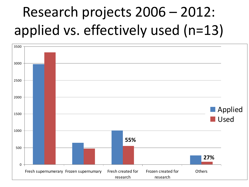# Research projects 2006 – 2012: applied vs. effectively used (n=13)

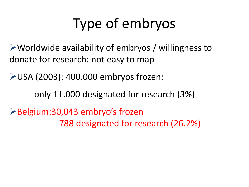# Type of embryos

Worldwide availability of embryos / willingness to donate for research: not easy to map

USA (2003): 400.000 embryos frozen:

only 11.000 designated for research (3%)

Belgium:30,043 embryo's frozen 788 designated for research (26.2%)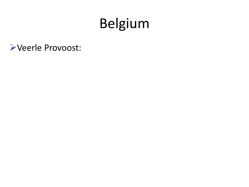## Belgium

Veerle Provoost: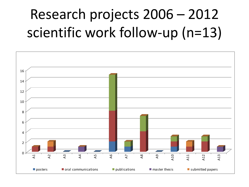# Research projects 2006 – 2012 scientific work follow-up (n=13)

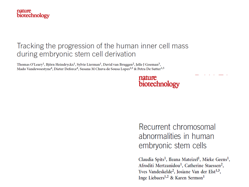

#### Tracking the progression of the human inner cell mass during embryonic stem cell derivation

Thomas O'Leary<sup>1</sup>, Björn Heindryckx<sup>1</sup>, Sylvie Lierman<sup>1</sup>, David van Bruggen<sup>2</sup>, Jelle J Goeman<sup>3</sup>, Mado Vandewoestyne<sup>4</sup>, Dieter Deforce<sup>4</sup>, Susana M Chuva de Sousa Lopes<sup>2,5</sup> & Petra De Sutter<sup>1,5</sup>

#### nature biotechnology

Recurrent chromosomal abnormalities in human embryonic stem cells

Claudia Spits<sup>1</sup>, Ileana Mateizel<sup>1</sup>, Mieke Geens<sup>1</sup>, Afroditi Mertzanidou<sup>1</sup>, Catherine Staessen<sup>2</sup>, Yves Vandeskelde<sup>2</sup>, Josiane Van der Elst<sup>1,3</sup>, Inge Liebaers<sup>1,2</sup> & Karen Sermon<sup>1</sup>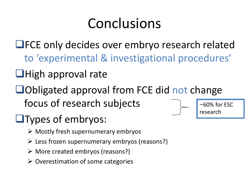# Conclusions

- **LIFCE only decides over embryo research related** to 'experimental & investigational procedures'
- $\Box$ High approval rate
- ■Obligated approval from FCE did not change focus of research subjects
- **Types of embryos:** 
	- $\triangleright$  Mostly fresh supernumerary embryos
	- $\triangleright$  Less frozen supernumerary embryos (reasons?)
	- $\triangleright$  More created embryos (reasons?)
	- $\triangleright$  Overestimation of some categories



 $~$ ~60% for ESC research